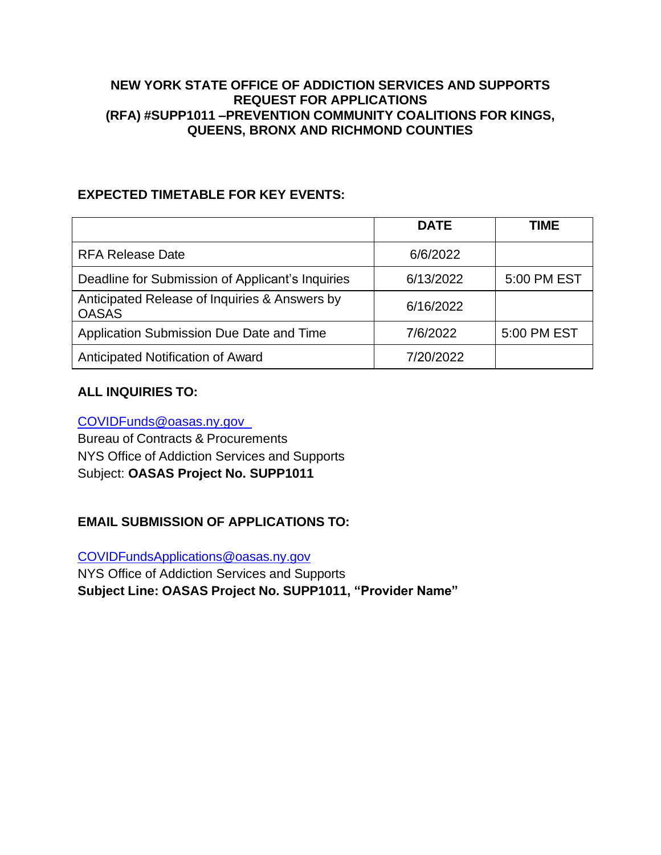#### **NEW YORK STATE OFFICE OF ADDICTION SERVICES AND SUPPORTS REQUEST FOR APPLICATIONS (RFA) #SUPP1011 –PREVENTION COMMUNITY COALITIONS FOR KINGS, QUEENS, BRONX AND RICHMOND COUNTIES**

### <span id="page-0-0"></span>**EXPECTED TIMETABLE FOR KEY EVENTS:**

|                                                               | <b>DATE</b> | <b>TIME</b> |
|---------------------------------------------------------------|-------------|-------------|
| <b>RFA Release Date</b>                                       | 6/6/2022    |             |
| Deadline for Submission of Applicant's Inquiries              | 6/13/2022   | 5:00 PM EST |
| Anticipated Release of Inquiries & Answers by<br><b>OASAS</b> | 6/16/2022   |             |
| Application Submission Due Date and Time                      | 7/6/2022    | 5:00 PM EST |
| Anticipated Notification of Award                             | 7/20/2022   |             |

### **ALL INQUIRIES TO:**

[COVIDFunds@oasas.ny.gov](mailto:COVIDFunds@oasas.ny.gov)

Bureau of Contracts & Procurements NYS Office of Addiction Services and Supports Subject: **OASAS Project No. SUPP1011**

### **EMAIL SUBMISSION OF APPLICATIONS TO:**

[COVIDFundsApplications@oasas.ny.gov](mailto:COVIDFundsApplications@oasas.ny.gov)

NYS Office of Addiction Services and Supports **Subject Line: OASAS Project No. SUPP1011, "Provider Name"**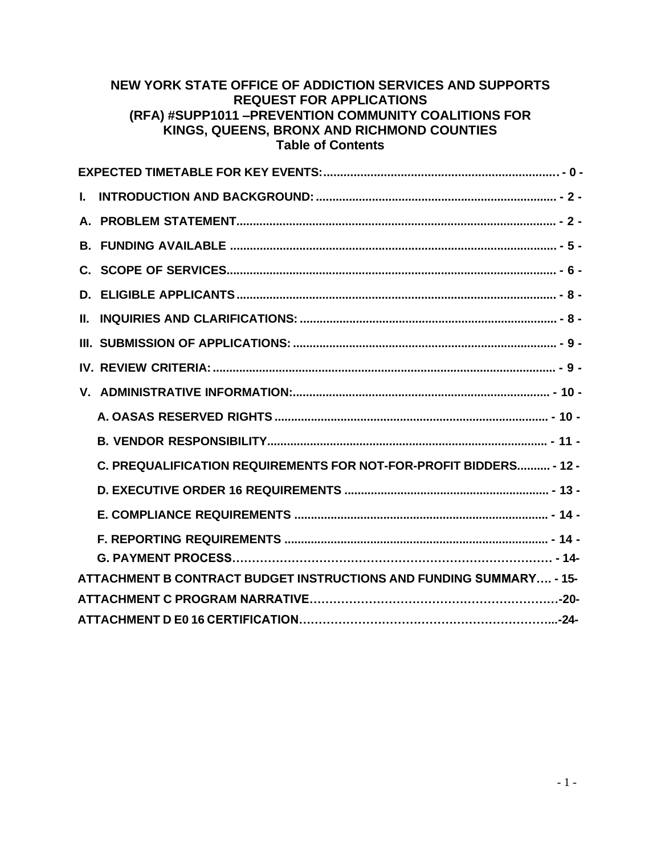#### **NEW YORK STATE OFFICE OF ADDICTION SERVICES AND SUPPORTS REQUEST FOR APPLICATIONS (RFA) #SUPP1011 –PREVENTION COMMUNITY COALITIONS FOR KINGS, QUEENS, BRONX AND RICHMOND COUNTIES Table of Contents**

| L  |                                                                     |
|----|---------------------------------------------------------------------|
|    |                                                                     |
| B. |                                                                     |
|    |                                                                     |
| D. |                                                                     |
| Н. |                                                                     |
|    |                                                                     |
|    |                                                                     |
|    |                                                                     |
|    |                                                                     |
|    |                                                                     |
|    | C. PREQUALIFICATION REQUIREMENTS FOR NOT-FOR-PROFIT BIDDERS - 12 -  |
|    |                                                                     |
|    |                                                                     |
|    |                                                                     |
|    |                                                                     |
|    | ATTACHMENT B CONTRACT BUDGET INSTRUCTIONS AND FUNDING SUMMARY - 15- |
|    |                                                                     |
|    |                                                                     |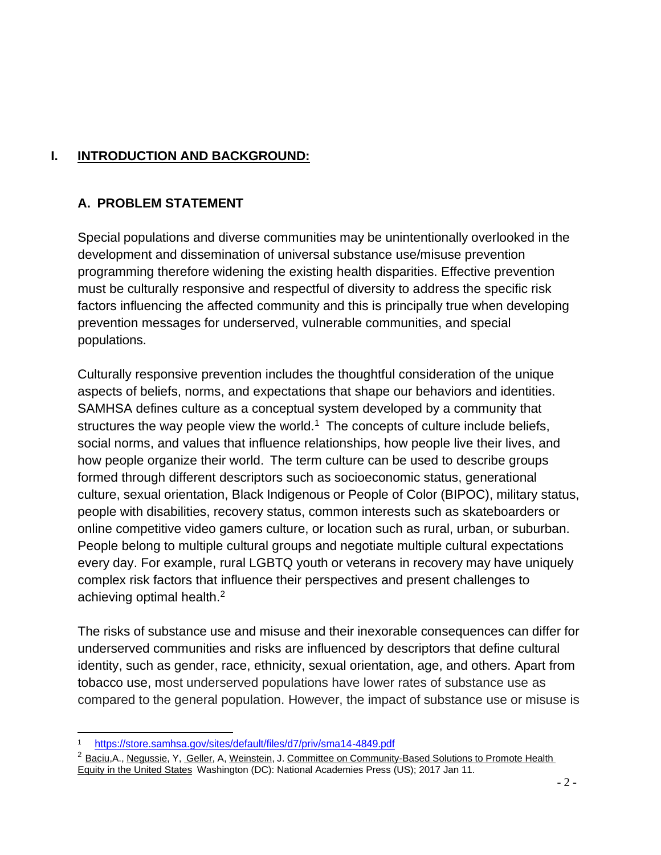# <span id="page-2-0"></span>**I. INTRODUCTION AND BACKGROUND:**

### <span id="page-2-1"></span>**A. PROBLEM STATEMENT**

Special populations and diverse communities may be unintentionally overlooked in the development and dissemination of universal substance use/misuse prevention programming therefore widening the existing health disparities. Effective prevention must be culturally responsive and respectful of diversity to address the specific risk factors influencing the affected community and this is principally true when developing prevention messages for underserved, vulnerable communities, and special populations.

Culturally responsive prevention includes the thoughtful consideration of the unique aspects of beliefs, norms, and expectations that shape our behaviors and identities. SAMHSA defines culture as a conceptual system developed by a community that structures the way people view the world.<sup>[1](#page-2-2)</sup> The concepts of culture include beliefs, social norms, and values that influence relationships, how people live their lives, and how people organize their world. The term culture can be used to describe groups formed through different descriptors such as socioeconomic status, generational culture, sexual orientation, Black Indigenous or People of Color (BIPOC), military status, people with disabilities, recovery status, common interests such as skateboarders or online competitive video gamers culture, or location such as rural, urban, or suburban. People belong to multiple cultural groups and negotiate multiple cultural expectations every day. For example, rural LGBTQ youth or veterans in recovery may have uniquely complex risk factors that influence their perspectives and present challenges to achieving optimal health.[2](#page-2-3)

The risks of substance use and misuse and their inexorable consequences can differ for underserved communities and risks are influenced by descriptors that define cultural identity, such as gender, race, ethnicity, sexual orientation, age, and others. Apart from tobacco use, most underserved populations have lower rates of substance use as compared to the general population. However, the impact of substance use or misuse is

<span id="page-2-2"></span><sup>1</sup> <https://store.samhsa.gov/sites/default/files/d7/priv/sma14-4849.pdf>

<span id="page-2-3"></span><sup>&</sup>lt;sup>2</sup> Baciu, A., [Negussie,](https://pubmed.ncbi.nlm.nih.gov/?term=Negussie%2BY%5BEditor%5D) Y, [Geller,](https://pubmed.ncbi.nlm.nih.gov/?term=Geller%2BA%5BEditor%5D) A, [Weinstein,](https://pubmed.ncbi.nlm.nih.gov/?term=Weinstein%2BJN%5BEditor%5D) J. Committee on [Community-Based](https://pubmed.ncbi.nlm.nih.gov/?term=Committee%2Bon%2BCommunity-Based%2BSolutions%2Bto%2BPromote%2BHealth%2BEquity%2Bin%2Bthe%2BUnited%2BStates%5BCorporate%2BAuthor%5D) Solutions to Promote Health [Equity in the United States](https://pubmed.ncbi.nlm.nih.gov/?term=Committee%2Bon%2BCommunity-Based%2BSolutions%2Bto%2BPromote%2BHealth%2BEquity%2Bin%2Bthe%2BUnited%2BStates%5BCorporate%2BAuthor%5D) Washington (DC): National Academies Press (US); 2017 Jan 11.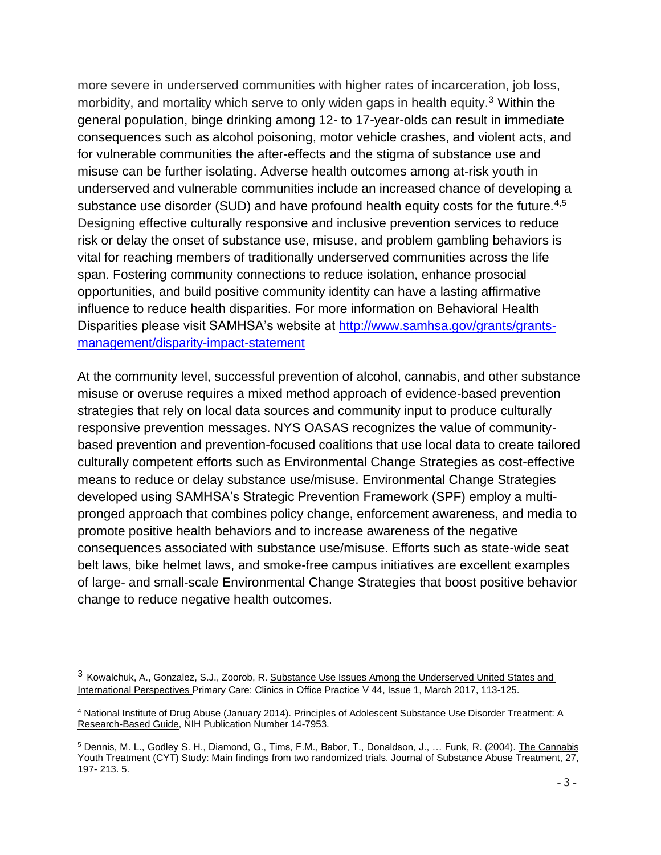more severe in underserved communities with higher rates of incarceration, job loss, morbidity, and mortality which serve to only widen gaps in health equity.[3](#page-3-0) Within the general population, binge drinking among 12- to 17-year-olds can result in immediate consequences such as alcohol poisoning, motor vehicle crashes, and violent acts, and for vulnerable communities the after-effects and the stigma of substance use and misuse can be further isolating. Adverse health outcomes among at-risk youth in underserved and vulnerable communities include an increased chance of developing a substance use disorder (SUD) and have profound health equity costs for the future.<sup>[4](#page-3-1)[,5](#page-3-2)</sup> Designing effective culturally responsive and inclusive prevention services to reduce risk or delay the onset of substance use, misuse, and problem gambling behaviors is vital for reaching members of traditionally underserved communities across the life span. Fostering community connections to reduce isolation, enhance prosocial opportunities, and build positive community identity can have a lasting affirmative influence to reduce health disparities. For more information on Behavioral Health Disparities please visit SAMHSA's website at [http://www.samhsa.gov/grants/grants](http://www.samhsa.gov/grants/grants-management/disparity-impact-statement)[management/disparity-impact-statement](http://www.samhsa.gov/grants/grants-management/disparity-impact-statement)

At the community level, successful prevention of alcohol, cannabis, and other substance misuse or overuse requires a mixed method approach of evidence-based prevention strategies that rely on local data sources and community input to produce culturally responsive prevention messages. NYS OASAS recognizes the value of communitybased prevention and prevention-focused coalitions that use local data to create tailored culturally competent efforts such as Environmental Change Strategies as cost-effective means to reduce or delay substance use/misuse. Environmental Change Strategies developed using SAMHSA's Strategic Prevention Framework (SPF) employ a multipronged approach that combines policy change, enforcement awareness, and media to promote positive health behaviors and to increase awareness of the negative consequences associated with substance use/misuse. Efforts such as state-wide seat belt laws, bike helmet laws, and smoke-free campus initiatives are excellent examples of large- and small-scale Environmental Change Strategies that boost positive behavior change to reduce negative health outcomes.

<span id="page-3-0"></span><sup>3</sup> Kowalchuk, A., Gonzalez, S.J., Zoorob, R. Substance Use Issues Among the Underserved United States and International Perspectives [Primary Care: Clinics in Office Practice](https://www.sciencedirect.com/science/journal/00954543) [V 44, Issue 1, M](https://www.sciencedirect.com/science/journal/00954543/44/1)arch 2017, 113-125.

<span id="page-3-1"></span><sup>4</sup> National Institute of Drug Abuse (January 2014). Principles of Adolescent Substance Use Disorder Treatment: A Research-Based Guide, NIH Publication Number 14-7953.

<span id="page-3-2"></span><sup>5</sup> Dennis, M. L., Godley S. H., Diamond, G., Tims, F.M., Babor, T., Donaldson, J., … Funk, R. (2004). The Cannabis Youth Treatment (CYT) Study: Main findings from two randomized trials. Journal of Substance Abuse Treatment, 27, 197- 213. 5.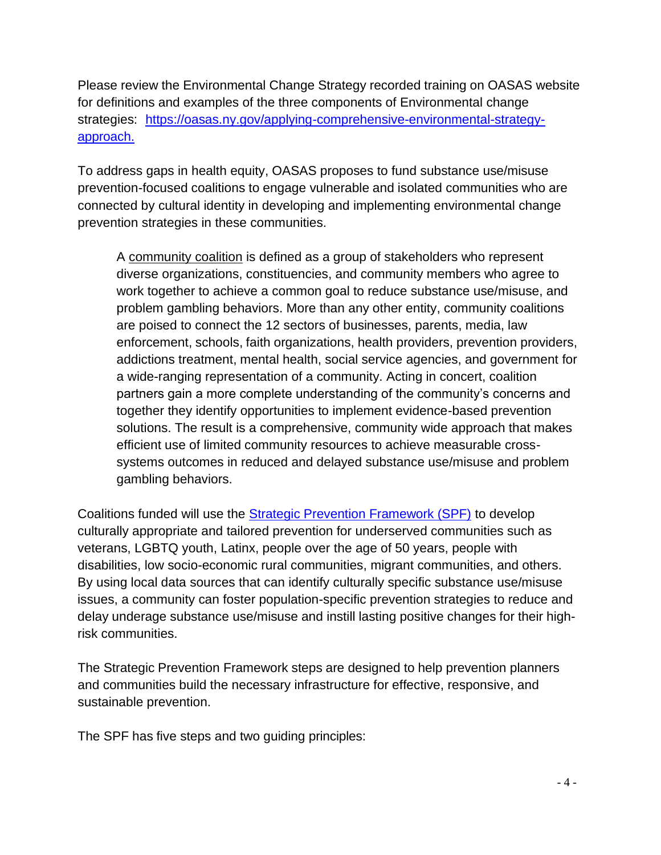Please review the Environmental Change Strategy recorded training on OASAS website for definitions and examples of the three components of Environmental change strategies: [https://oasas.ny.gov/applying-comprehensive-environmental-strategy](https://oasas.ny.gov/applying-comprehensive-environmental-strategy-approach)[approach.](https://oasas.ny.gov/applying-comprehensive-environmental-strategy-approach)

To address gaps in health equity, OASAS proposes to fund substance use/misuse prevention-focused coalitions to engage vulnerable and isolated communities who are connected by cultural identity in developing and implementing environmental change prevention strategies in these communities.

A community coalition is defined as a group of stakeholders who represent diverse organizations, constituencies, and community members who agree to work together to achieve a common goal to reduce substance use/misuse, and problem gambling behaviors. More than any other entity, community coalitions are poised to connect the 12 sectors of businesses, parents, media, law enforcement, schools, faith organizations, health providers, prevention providers, addictions treatment, mental health, social service agencies, and government for a wide-ranging representation of a community. Acting in concert, coalition partners gain a more complete understanding of the community's concerns and together they identify opportunities to implement evidence-based prevention solutions. The result is a comprehensive, community wide approach that makes efficient use of limited community resources to achieve measurable crosssystems outcomes in reduced and delayed substance use/misuse and problem gambling behaviors.

Coalitions funded will use the [Strategic Prevention Framework \(SPF\)](https://www.samhsa.gov/resource/ebp/strategic-prevention-framework) to develop culturally appropriate and tailored prevention for underserved communities such as veterans, LGBTQ youth, Latinx, people over the age of 50 years, people with disabilities, low socio-economic rural communities, migrant communities, and others. By using local data sources that can identify culturally specific substance use/misuse issues, a community can foster population-specific prevention strategies to reduce and delay underage substance use/misuse and instill lasting positive changes for their highrisk communities.

The Strategic Prevention Framework steps are designed to help prevention planners and communities build the necessary infrastructure for effective, responsive, and sustainable prevention.

The SPF has five steps and two guiding principles: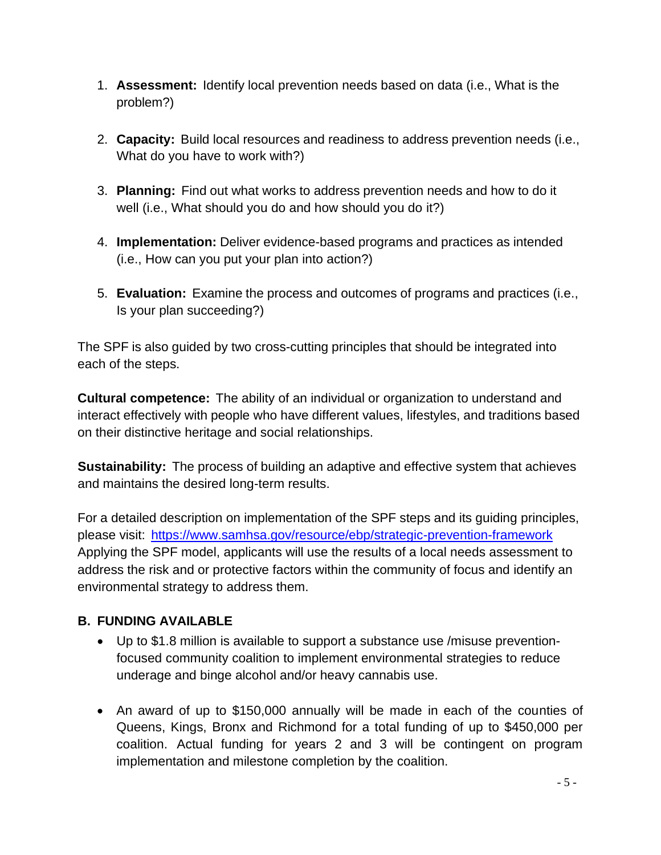- 1. **Assessment:** Identify local prevention needs based on data (i.e., What is the problem?)
- 2. **Capacity:** Build local resources and readiness to address prevention needs (i.e., What do you have to work with?)
- 3. **Planning:** Find out what works to address prevention needs and how to do it well (i.e., What should you do and how should you do it?)
- 4. **Implementation:** Deliver evidence-based programs and practices as intended (i.e., How can you put your plan into action?)
- 5. **Evaluation:** Examine the process and outcomes of programs and practices (i.e., Is your plan succeeding?)

The SPF is also guided by two cross-cutting principles that should be integrated into each of the steps.

**Cultural competence:** The ability of an individual or organization to understand and interact effectively with people who have different values, lifestyles, and traditions based on their distinctive heritage and social relationships.

**Sustainability:** The process of building an adaptive and effective system that achieves and maintains the desired long-term results.

For a detailed description on implementation of the SPF steps and its guiding principles, please visit: <https://www.samhsa.gov/resource/ebp/strategic-prevention-framework> Applying the SPF model, applicants will use the results of a local needs assessment to address the risk and or protective factors within the community of focus and identify an environmental strategy to address them.

# <span id="page-5-0"></span>**B. FUNDING AVAILABLE**

- Up to \$1.8 million is available to support a substance use /misuse preventionfocused community coalition to implement environmental strategies to reduce underage and binge alcohol and/or heavy cannabis use.
- An award of up to \$150,000 annually will be made in each of the counties of Queens, Kings, Bronx and Richmond for a total funding of up to \$450,000 per coalition. Actual funding for years 2 and 3 will be contingent on program implementation and milestone completion by the coalition.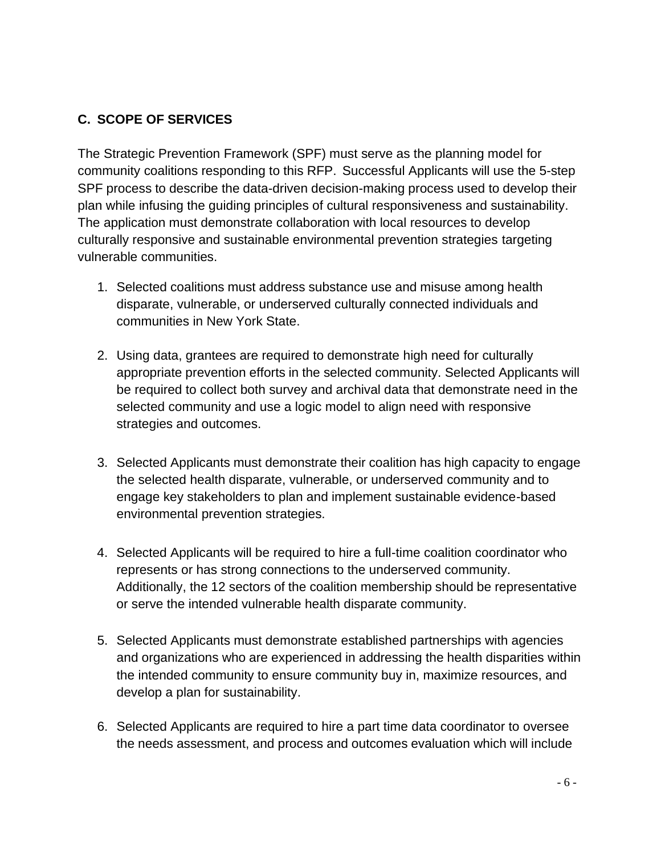# <span id="page-6-0"></span>**C. SCOPE OF SERVICES**

The Strategic Prevention Framework (SPF) must serve as the planning model for community coalitions responding to this RFP. Successful Applicants will use the 5-step SPF process to describe the data-driven decision-making process used to develop their plan while infusing the guiding principles of cultural responsiveness and sustainability. The application must demonstrate collaboration with local resources to develop culturally responsive and sustainable environmental prevention strategies targeting vulnerable communities.

- 1. Selected coalitions must address substance use and misuse among health disparate, vulnerable, or underserved culturally connected individuals and communities in New York State.
- 2. Using data, grantees are required to demonstrate high need for culturally appropriate prevention efforts in the selected community. Selected Applicants will be required to collect both survey and archival data that demonstrate need in the selected community and use a logic model to align need with responsive strategies and outcomes.
- 3. Selected Applicants must demonstrate their coalition has high capacity to engage the selected health disparate, vulnerable, or underserved community and to engage key stakeholders to plan and implement sustainable evidence-based environmental prevention strategies.
- 4. Selected Applicants will be required to hire a full-time coalition coordinator who represents or has strong connections to the underserved community. Additionally, the 12 sectors of the coalition membership should be representative or serve the intended vulnerable health disparate community.
- 5. Selected Applicants must demonstrate established partnerships with agencies and organizations who are experienced in addressing the health disparities within the intended community to ensure community buy in, maximize resources, and develop a plan for sustainability.
- 6. Selected Applicants are required to hire a part time data coordinator to oversee the needs assessment, and process and outcomes evaluation which will include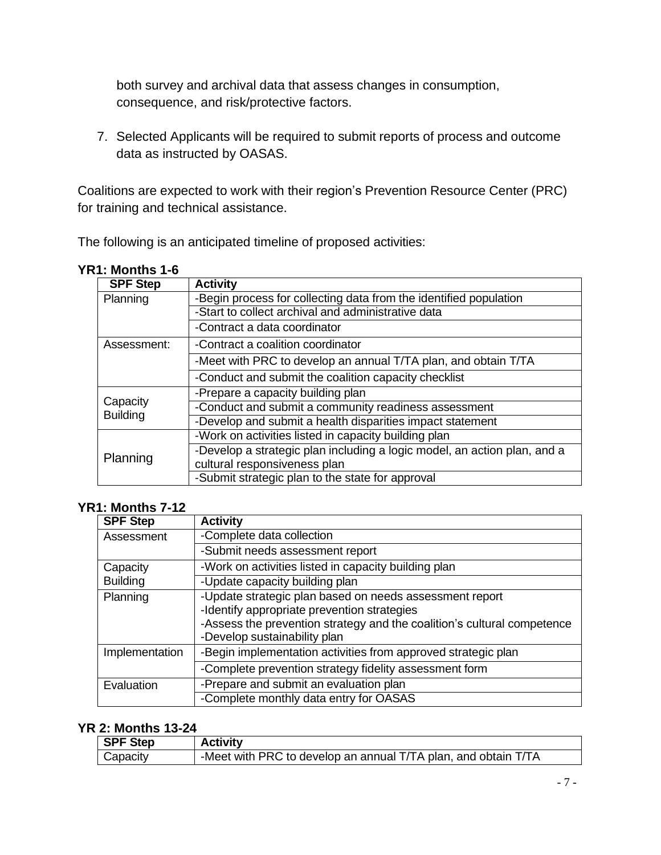both survey and archival data that assess changes in consumption, consequence, and risk/protective factors.

7. Selected Applicants will be required to submit reports of process and outcome data as instructed by OASAS.

Coalitions are expected to work with their region's Prevention Resource Center (PRC) for training and technical assistance.

The following is an anticipated timeline of proposed activities:

| <b>SPF Step</b> | <b>Activity</b>                                                          |
|-----------------|--------------------------------------------------------------------------|
| Planning        | -Begin process for collecting data from the identified population        |
|                 | -Start to collect archival and administrative data                       |
|                 | -Contract a data coordinator                                             |
| Assessment:     | -Contract a coalition coordinator                                        |
|                 | -Meet with PRC to develop an annual T/TA plan, and obtain T/TA           |
|                 | -Conduct and submit the coalition capacity checklist                     |
|                 | -Prepare a capacity building plan                                        |
| Capacity        | -Conduct and submit a community readiness assessment                     |
| <b>Building</b> | -Develop and submit a health disparities impact statement                |
|                 | -Work on activities listed in capacity building plan                     |
|                 | -Develop a strategic plan including a logic model, an action plan, and a |
| Planning        | cultural responsiveness plan                                             |
|                 | -Submit strategic plan to the state for approval                         |

# **YR1: Months 1-6**

#### **YR1: Months 7-12**

| <b>SPF Step</b> | <b>Activity</b>                                                                                                                                                                                                   |  |
|-----------------|-------------------------------------------------------------------------------------------------------------------------------------------------------------------------------------------------------------------|--|
| Assessment      | -Complete data collection                                                                                                                                                                                         |  |
|                 | -Submit needs assessment report                                                                                                                                                                                   |  |
| Capacity        | -Work on activities listed in capacity building plan                                                                                                                                                              |  |
| <b>Building</b> | -Update capacity building plan                                                                                                                                                                                    |  |
| Planning        | -Update strategic plan based on needs assessment report<br>-Identify appropriate prevention strategies<br>-Assess the prevention strategy and the coalition's cultural competence<br>-Develop sustainability plan |  |
| Implementation  | -Begin implementation activities from approved strategic plan                                                                                                                                                     |  |
|                 | -Complete prevention strategy fidelity assessment form                                                                                                                                                            |  |
| Evaluation      | -Prepare and submit an evaluation plan                                                                                                                                                                            |  |
|                 | -Complete monthly data entry for OASAS                                                                                                                                                                            |  |

#### **YR 2: Months 13-24**

| <b>SPF Step</b> | <b>Activity</b>                                                |  |
|-----------------|----------------------------------------------------------------|--|
| Capacity        | -Meet with PRC to develop an annual T/TA plan, and obtain T/TA |  |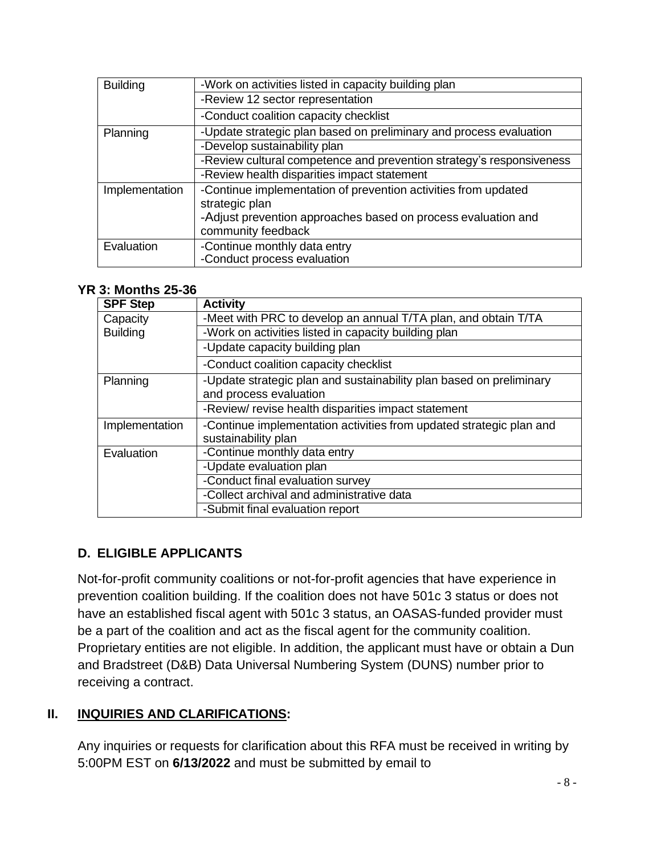| <b>Building</b> | -Work on activities listed in capacity building plan                 |  |
|-----------------|----------------------------------------------------------------------|--|
|                 | -Review 12 sector representation                                     |  |
|                 | -Conduct coalition capacity checklist                                |  |
| Planning        | -Update strategic plan based on preliminary and process evaluation   |  |
|                 | -Develop sustainability plan                                         |  |
|                 | -Review cultural competence and prevention strategy's responsiveness |  |
|                 | -Review health disparities impact statement                          |  |
| Implementation  | -Continue implementation of prevention activities from updated       |  |
|                 | strategic plan                                                       |  |
|                 | -Adjust prevention approaches based on process evaluation and        |  |
|                 | community feedback                                                   |  |
| Evaluation      | -Continue monthly data entry                                         |  |
|                 | -Conduct process evaluation                                          |  |

### **YR 3: Months 25-36**

| <b>SPF Step</b>                                                                       | <b>Activity</b>                                                |  |
|---------------------------------------------------------------------------------------|----------------------------------------------------------------|--|
| Capacity                                                                              | -Meet with PRC to develop an annual T/TA plan, and obtain T/TA |  |
| <b>Building</b>                                                                       | -Work on activities listed in capacity building plan           |  |
|                                                                                       | -Update capacity building plan                                 |  |
|                                                                                       | -Conduct coalition capacity checklist                          |  |
| -Update strategic plan and sustainability plan based on preliminary<br>Planning       |                                                                |  |
|                                                                                       | and process evaluation                                         |  |
|                                                                                       | -Review/ revise health disparities impact statement            |  |
| -Continue implementation activities from updated strategic plan and<br>Implementation |                                                                |  |
|                                                                                       | sustainability plan                                            |  |
| Evaluation                                                                            | -Continue monthly data entry                                   |  |
|                                                                                       | -Update evaluation plan                                        |  |
|                                                                                       | -Conduct final evaluation survey                               |  |
|                                                                                       | -Collect archival and administrative data                      |  |
|                                                                                       | -Submit final evaluation report                                |  |

### <span id="page-8-0"></span>**D. ELIGIBLE APPLICANTS**

Not-for-profit community coalitions or not-for-profit agencies that have experience in prevention coalition building. If the coalition does not have 501c 3 status or does not have an established fiscal agent with 501c 3 status, an OASAS-funded provider must be a part of the coalition and act as the fiscal agent for the community coalition. Proprietary entities are not eligible. In addition, the applicant must have or obtain a Dun and Bradstreet (D&B) Data Universal Numbering System (DUNS) number prior to receiving a contract.

### <span id="page-8-1"></span>**II. INQUIRIES AND CLARIFICATIONS:**

Any inquiries or requests for clarification about this RFA must be received in writing by 5:00PM EST on **6/13/2022** and must be submitted by email to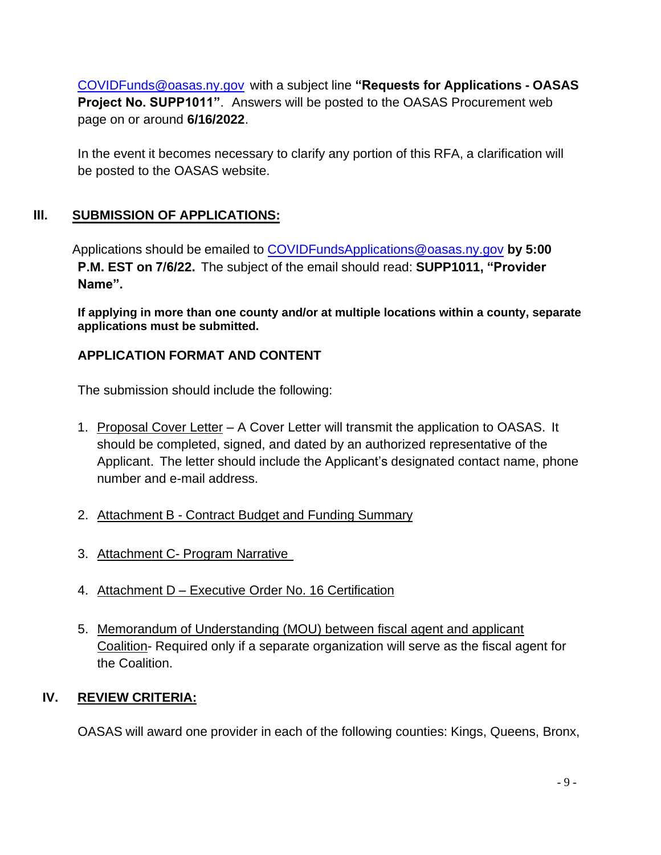[COVIDFunds@oasas.ny.gov](mailto:COVIDFunds@oasas.ny.gov) with a subject line **"Requests for Applications - OASAS Project No. SUPP1011"**. Answers will be posted to the OASAS Procurement web page on or around **6/16/2022**.

In the event it becomes necessary to clarify any portion of this RFA, a clarification will be posted to the OASAS website.

### <span id="page-9-0"></span>**III. SUBMISSION OF APPLICATIONS:**

Applications should be emailed to [COVIDFundsApplications@oasas.ny.gov](mailto:COVIDFundsApplications@oasas.ny.gov) **by 5:00 P.M. EST on 7/6/22.** The subject of the email should read: **SUPP1011, "Provider Name".**

**If applying in more than one county and/or at multiple locations within a county, separate applications must be submitted.**

### **APPLICATION FORMAT AND CONTENT**

The submission should include the following:

- 1. Proposal Cover Letter A Cover Letter will transmit the application to OASAS. It should be completed, signed, and dated by an authorized representative of the Applicant. The letter should include the Applicant's designated contact name, phone number and e-mail address.
- 2. Attachment B Contract Budget and Funding Summary
- 3. Attachment C- Program Narrative
- 4. Attachment D Executive Order No. 16 Certification
- 5. Memorandum of Understanding (MOU) between fiscal agent and applicant Coalition- Required only if a separate organization will serve as the fiscal agent for the Coalition.

### <span id="page-9-1"></span>**IV. REVIEW CRITERIA:**

OASAS will award one provider in each of the following counties: Kings, Queens, Bronx,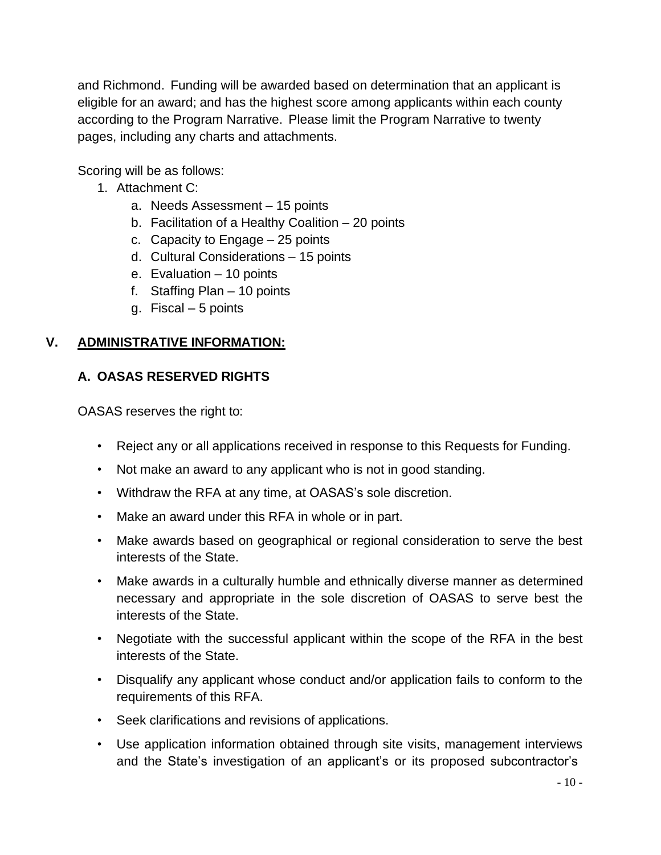and Richmond. Funding will be awarded based on determination that an applicant is eligible for an award; and has the highest score among applicants within each county according to the Program Narrative. Please limit the Program Narrative to twenty pages, including any charts and attachments.

Scoring will be as follows:

- 1. Attachment C:
	- a. Needs Assessment 15 points
	- b. Facilitation of a Healthy Coalition 20 points
	- c. Capacity to Engage 25 points
	- d. Cultural Considerations 15 points
	- e. Evaluation 10 points
	- f. Staffing Plan 10 points
	- g. Fiscal 5 points

# <span id="page-10-1"></span><span id="page-10-0"></span>**V. ADMINISTRATIVE INFORMATION:**

### **A. OASAS RESERVED RIGHTS**

OASAS reserves the right to:

- Reject any or all applications received in response to this Requests for Funding.
- Not make an award to any applicant who is not in good standing.
- Withdraw the RFA at any time, at OASAS's sole discretion.
- Make an award under this RFA in whole or in part.
- Make awards based on geographical or regional consideration to serve the best interests of the State.
- Make awards in a culturally humble and ethnically diverse manner as determined necessary and appropriate in the sole discretion of OASAS to serve best the interests of the State.
- Negotiate with the successful applicant within the scope of the RFA in the best interests of the State.
- Disqualify any applicant whose conduct and/or application fails to conform to the requirements of this RFA.
- Seek clarifications and revisions of applications.
- Use application information obtained through site visits, management interviews and the State's investigation of an applicant's or its proposed subcontractor's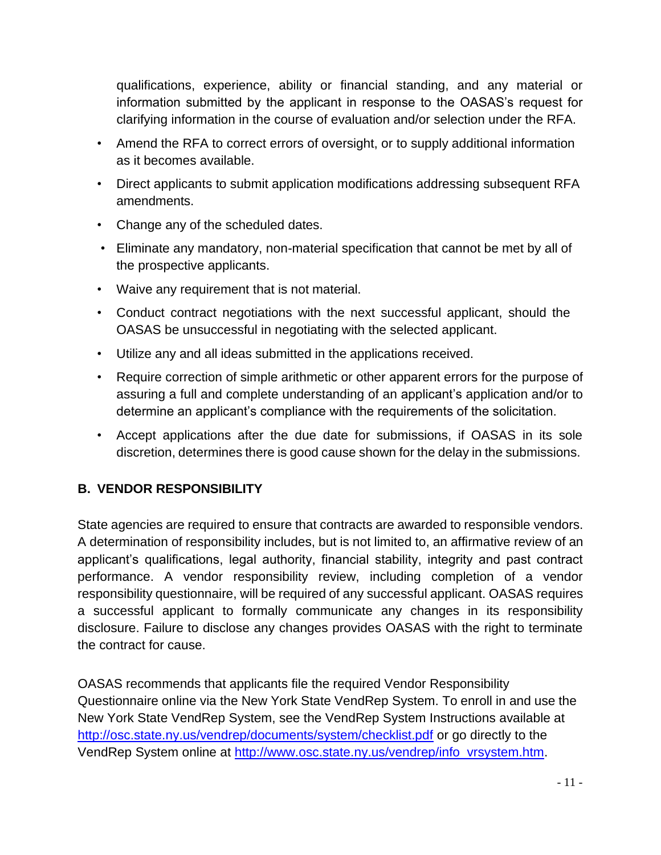qualifications, experience, ability or financial standing, and any material or information submitted by the applicant in response to the OASAS's request for clarifying information in the course of evaluation and/or selection under the RFA.

- Amend the RFA to correct errors of oversight, or to supply additional information as it becomes available.
- Direct applicants to submit application modifications addressing subsequent RFA amendments.
- Change any of the scheduled dates.
- Eliminate any mandatory, non-material specification that cannot be met by all of the prospective applicants.
- Waive any requirement that is not material.
- Conduct contract negotiations with the next successful applicant, should the OASAS be unsuccessful in negotiating with the selected applicant.
- Utilize any and all ideas submitted in the applications received.
- Require correction of simple arithmetic or other apparent errors for the purpose of assuring a full and complete understanding of an applicant's application and/or to determine an applicant's compliance with the requirements of the solicitation.
- Accept applications after the due date for submissions, if OASAS in its sole discretion, determines there is good cause shown for the delay in the submissions.

# <span id="page-11-0"></span>**B. VENDOR RESPONSIBILITY**

State agencies are required to ensure that contracts are awarded to responsible vendors. A determination of responsibility includes, but is not limited to, an affirmative review of an applicant's qualifications, legal authority, financial stability, integrity and past contract performance. A vendor responsibility review, including completion of a vendor responsibility questionnaire, will be required of any successful applicant. OASAS requires a successful applicant to formally communicate any changes in its responsibility disclosure. Failure to disclose any changes provides OASAS with the right to terminate the contract for cause.

OASAS recommends that applicants file the required Vendor Responsibility Questionnaire online via the New York State VendRep System. To enroll in and use the New York State VendRep System, see the VendRep System Instructions available at <http://osc.state.ny.us/vendrep/documents/system/checklist.pdf> or go directly to the VendRep System online at [http://www.osc.state.ny.us/vendrep/info\\_vrsystem.htm.](http://www.osc.state.ny.us/vendrep/info_vrsystem.htm)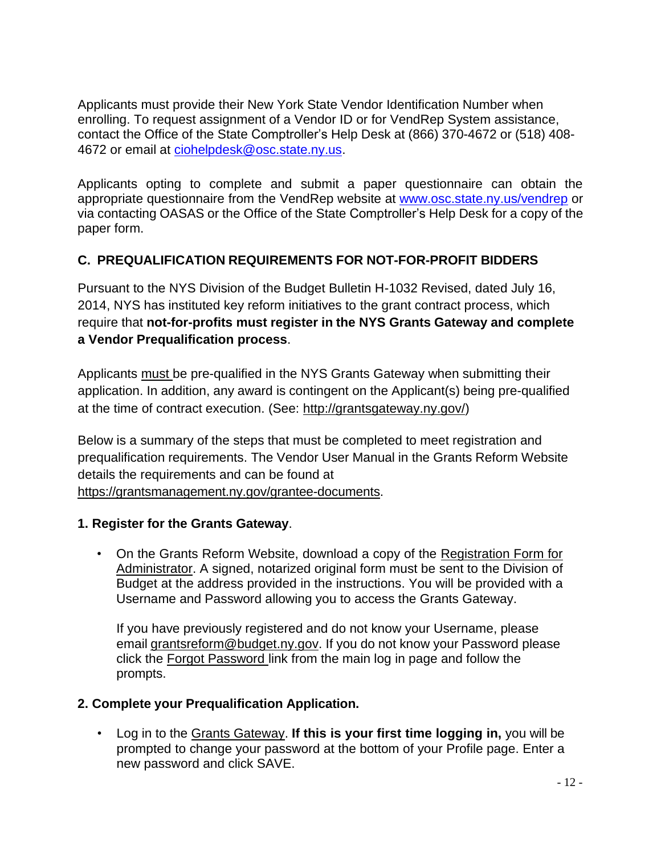Applicants must provide their New York State Vendor Identification Number when enrolling. To request assignment of a Vendor ID or for VendRep System assistance, contact the Office of the State Comptroller's Help Desk at (866) 370-4672 or (518) 408- 4672 or email at [ciohelpdesk@osc.state.ny.us.](mailto:ciohelpdesk@osc.state.ny.us)

Applicants opting to complete and submit a paper questionnaire can obtain the appropriate questionnaire from the VendRep website at [www.osc.state.ny.us/vendrep](http://www.osc.state.ny.us/vendrep) or via contacting OASAS or the Office of the State Comptroller's Help Desk for a copy of the paper form.

### <span id="page-12-0"></span>**C. PREQUALIFICATION REQUIREMENTS FOR NOT-FOR-PROFIT BIDDERS**

Pursuant to the NYS Division of the Budget Bulletin H-1032 Revised, dated July 16, 2014, NYS has instituted key reform initiatives to the grant contract process, which require that **not-for-profits must register in the NYS Grants Gateway and complete a Vendor Prequalification process**.

Applicants must be pre-qualified in the NYS Grants Gateway when submitting their application. In addition, any award is contingent on the Applicant(s) being pre-qualified at the time of contract execution. (See: [http://grantsgateway.ny.gov/\)](http://grantsgateway.ny.gov/))

Below is a summary of the steps that must be completed to meet registration and prequalification requirements. The Vendor User Manual in the Grants Reform Website details the requirements and can be found at https://grantsmanagement.ny.gov/grantee-documents.

#### **1. Register for the Grants Gateway**.

• On the Grants Reform Website, download a copy of the Registration Form for Administrator. A signed, notarized original form must be sent to the Division of Budget at the address provided in the instructions. You will be provided with a Username and Password allowing you to access the Grants Gateway.

If you have previously registered and do not know your Username, please email [grantsreform@budget.ny.gov.](mailto:grantsreform@budget.ny.gov) If you do not know your Password please click the Forgot Password link from the main log in page and follow the prompts.

### **2. Complete your Prequalification Application.**

• Log in to the Grants Gateway. **If this is your first time logging in,** you will be prompted to change your password at the bottom of your Profile page. Enter a new password and click SAVE.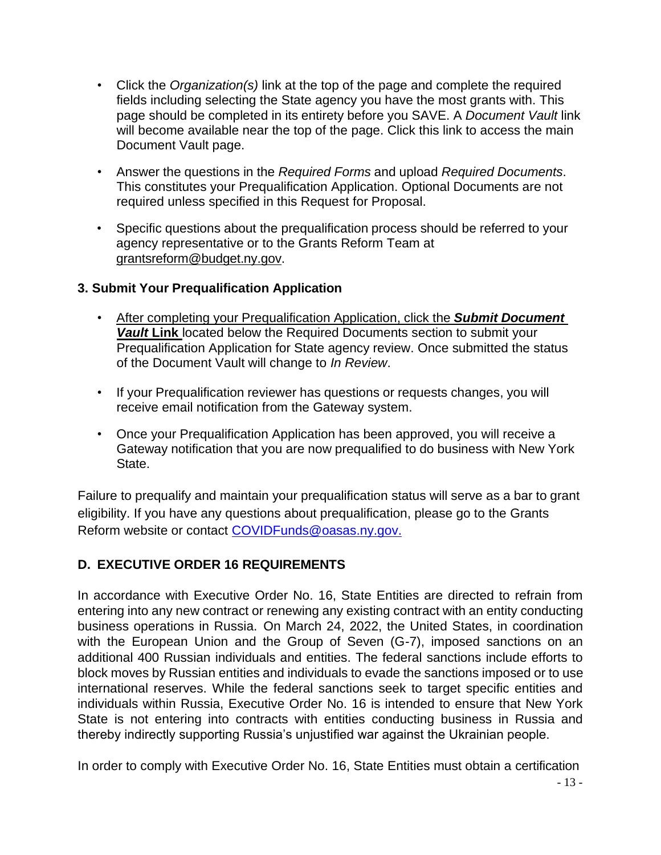- Click the *Organization(s)* link at the top of the page and complete the required fields including selecting the State agency you have the most grants with. This page should be completed in its entirety before you SAVE. A *Document Vault* link will become available near the top of the page. Click this link to access the main Document Vault page.
- Answer the questions in the *Required Forms* and upload *Required Documents*. This constitutes your Prequalification Application. Optional Documents are not required unless specified in this Request for Proposal.
- Specific questions about the prequalification process should be referred to your agency representative or to the Grants Reform Team at [grantsreform@budget.ny.gov.](mailto:grantsreform@budget.ny.gov)

### **3. Submit Your Prequalification Application**

- After completing your Prequalification Application, click the *Submit Document Vault* **Link** located below the Required Documents section to submit your Prequalification Application for State agency review. Once submitted the status of the Document Vault will change to *In Review*.
- If your Prequalification reviewer has questions or requests changes, you will receive email notification from the Gateway system.
- Once your Prequalification Application has been approved, you will receive a Gateway notification that you are now prequalified to do business with New York State.

Failure to prequalify and maintain your prequalification status will serve as a bar to grant eligibility. If you have any questions about prequalification, please go to the Grants Reform website or contact [COVIDFunds@oasas.ny.gov.](mailto:COVIDFunds@oasas.ny.gov)

# <span id="page-13-0"></span>**D. EXECUTIVE ORDER 16 REQUIREMENTS**

In accordance with Executive Order No. 16, State Entities are directed to refrain from entering into any new contract or renewing any existing contract with an entity conducting business operations in Russia. On March 24, 2022, the United States, in coordination with the European Union and the Group of Seven (G-7), imposed sanctions on an additional 400 Russian individuals and entities. The federal sanctions include efforts to block moves by Russian entities and individuals to evade the sanctions imposed or to use international reserves. While the federal sanctions seek to target specific entities and individuals within Russia, Executive Order No. 16 is intended to ensure that New York State is not entering into contracts with entities conducting business in Russia and thereby indirectly supporting Russia's unjustified war against the Ukrainian people.

- 13 - In order to comply with Executive Order No. 16, State Entities must obtain a certification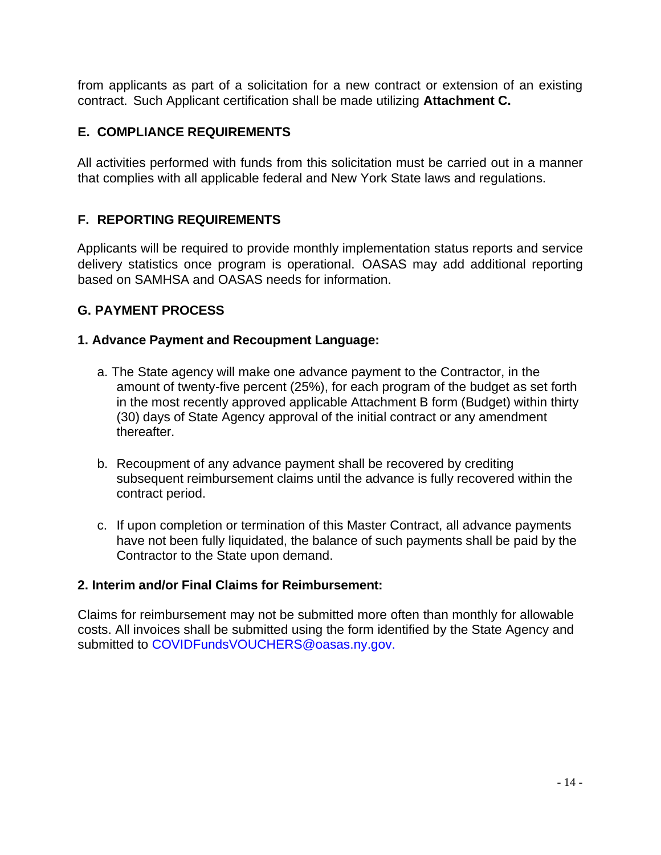from applicants as part of a solicitation for a new contract or extension of an existing contract. Such Applicant certification shall be made utilizing **Attachment C.**

### <span id="page-14-0"></span>**E. COMPLIANCE REQUIREMENTS**

All activities performed with funds from this solicitation must be carried out in a manner that complies with all applicable federal and New York State laws and regulations.

### <span id="page-14-1"></span>**F. REPORTING REQUIREMENTS**

Applicants will be required to provide monthly implementation status reports and service delivery statistics once program is operational. OASAS may add additional reporting based on SAMHSA and OASAS needs for information.

#### **G. PAYMENT PROCESS**

#### **1. Advance Payment and Recoupment Language:**

- a. The State agency will make one advance payment to the Contractor, in the amount of twenty-five percent (25%), for each program of the budget as set forth in the most recently approved applicable Attachment B form (Budget) within thirty (30) days of State Agency approval of the initial contract or any amendment thereafter.
- b. Recoupment of any advance payment shall be recovered by crediting subsequent reimbursement claims until the advance is fully recovered within the contract period.
- c. If upon completion or termination of this Master Contract, all advance payments have not been fully liquidated, the balance of such payments shall be paid by the Contractor to the State upon demand.

#### **2. Interim and/or Final Claims for Reimbursement:**

Claims for reimbursement may not be submitted more often than monthly for allowable costs. All invoices shall be submitted using the form identified by the State Agency and submitted to [COVIDFundsVOUCHERS@oasas.ny.gov.](mailto:COVIDFundsVOUCHERS@oasas.ny.gov)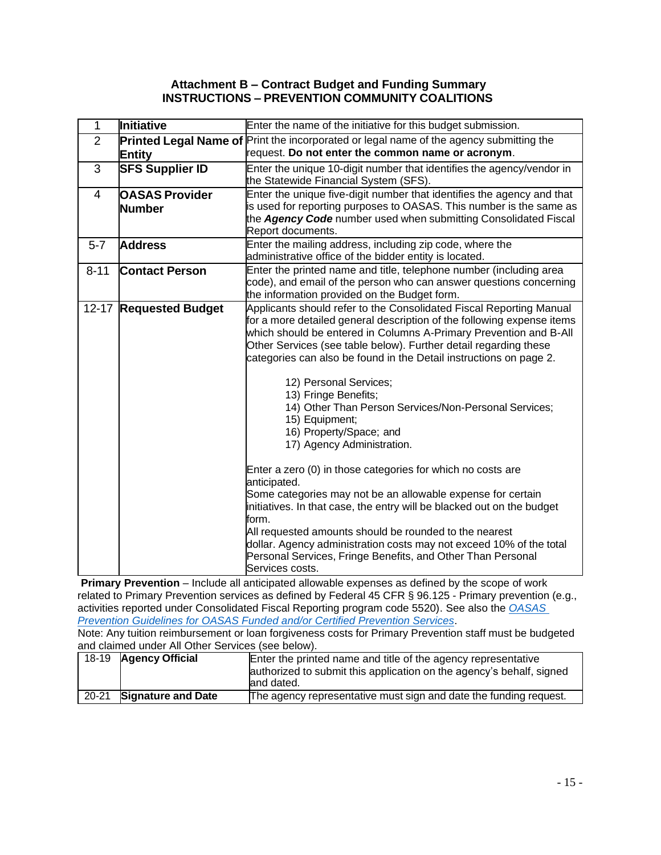#### **Attachment B – Contract Budget and Funding Summary INSTRUCTIONS – PREVENTION COMMUNITY COALITIONS**

| 1              | Initiative             | Enter the name of the initiative for this budget submission.                                                                                  |  |  |
|----------------|------------------------|-----------------------------------------------------------------------------------------------------------------------------------------------|--|--|
| $\overline{2}$ |                        | <b>Printed Legal Name of Print the incorporated or legal name of the agency submitting the</b>                                                |  |  |
|                | <b>Entity</b>          | request. Do not enter the common name or acronym.                                                                                             |  |  |
| 3              | <b>SFS Supplier ID</b> | Enter the unique 10-digit number that identifies the agency/vendor in                                                                         |  |  |
|                |                        | the Statewide Financial System (SFS).                                                                                                         |  |  |
| 4              | <b>OASAS Provider</b>  | Enter the unique five-digit number that identifies the agency and that                                                                        |  |  |
|                | <b>Number</b>          | is used for reporting purposes to OASAS. This number is the same as<br>the Agency Code number used when submitting Consolidated Fiscal        |  |  |
|                |                        | Report documents.                                                                                                                             |  |  |
| $5 - 7$        | <b>Address</b>         | Enter the mailing address, including zip code, where the                                                                                      |  |  |
|                |                        | administrative office of the bidder entity is located.                                                                                        |  |  |
| $8 - 11$       | <b>Contact Person</b>  | Enter the printed name and title, telephone number (including area                                                                            |  |  |
|                |                        | code), and email of the person who can answer questions concerning                                                                            |  |  |
|                |                        | the information provided on the Budget form.                                                                                                  |  |  |
|                | 12-17 Requested Budget | Applicants should refer to the Consolidated Fiscal Reporting Manual<br>for a more detailed general description of the following expense items |  |  |
|                |                        | which should be entered in Columns A-Primary Prevention and B-All                                                                             |  |  |
|                |                        | Other Services (see table below). Further detail regarding these                                                                              |  |  |
|                |                        | categories can also be found in the Detail instructions on page 2.                                                                            |  |  |
|                |                        |                                                                                                                                               |  |  |
|                |                        | 12) Personal Services;                                                                                                                        |  |  |
|                |                        | 13) Fringe Benefits;<br>14) Other Than Person Services/Non-Personal Services;                                                                 |  |  |
|                |                        | 15) Equipment;                                                                                                                                |  |  |
|                |                        | 16) Property/Space; and                                                                                                                       |  |  |
|                |                        | 17) Agency Administration.                                                                                                                    |  |  |
|                |                        |                                                                                                                                               |  |  |
|                |                        | Enter a zero (0) in those categories for which no costs are                                                                                   |  |  |
|                |                        | anticipated.<br>Some categories may not be an allowable expense for certain                                                                   |  |  |
|                |                        | initiatives. In that case, the entry will be blacked out on the budget                                                                        |  |  |
|                |                        | form.                                                                                                                                         |  |  |
|                |                        | All requested amounts should be rounded to the nearest                                                                                        |  |  |
|                |                        | dollar. Agency administration costs may not exceed 10% of the total                                                                           |  |  |
|                |                        | Personal Services, Fringe Benefits, and Other Than Personal                                                                                   |  |  |
|                |                        | Services costs.                                                                                                                               |  |  |

**Primary Prevention** – Include all anticipated allowable expenses as defined by the scope of work related to Primary Prevention services as defined by Federal 45 CFR § 96.125 - Primary prevention (e.g., activities reported under Consolidated Fiscal Reporting program code 5520). See also the *[OASAS](https://oasas.ny.gov/system/files/documents/2019/09/Prevention%20guideliens.pdf)  [Prevention Guidelines for OASAS Funded and/or Certified Prevention Services](https://oasas.ny.gov/system/files/documents/2019/09/Prevention%20guideliens.pdf)*.

Note: Any tuition reimbursement or loan forgiveness costs for Primary Prevention staff must be budgeted and claimed under All Other Services (see below).

|       | 18-19 Agency Official     | Enter the printed name and title of the agency representative        |  |  |
|-------|---------------------------|----------------------------------------------------------------------|--|--|
|       |                           | authorized to submit this application on the agency's behalf, signed |  |  |
|       |                           | land dated.                                                          |  |  |
| 20-21 | <b>Signature and Date</b> | The agency representative must sign and date the funding request.    |  |  |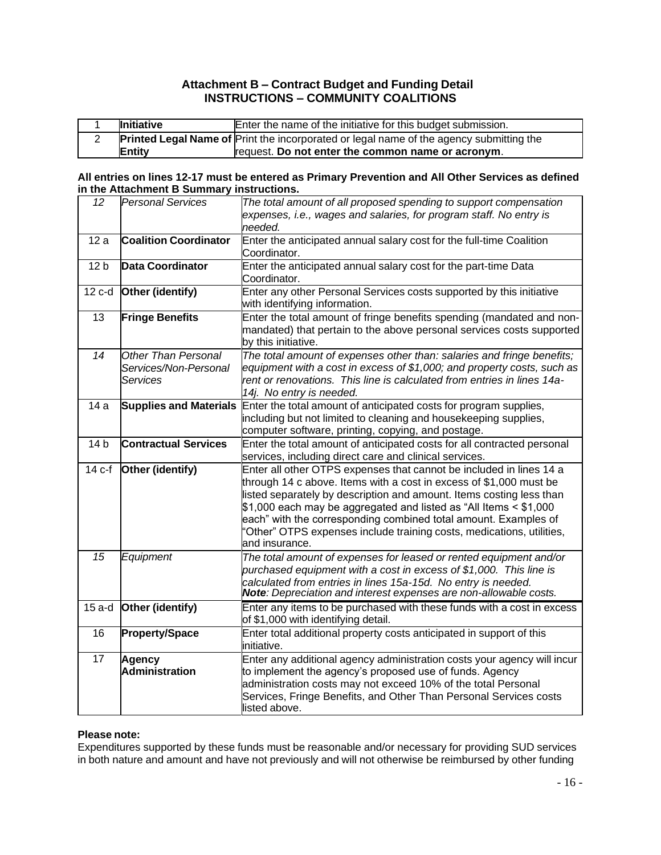#### **Attachment B – Contract Budget and Funding Detail INSTRUCTIONS – COMMUNITY COALITIONS**

| <b>Initiative</b> | Enter the name of the initiative for this budget submission.                                   |
|-------------------|------------------------------------------------------------------------------------------------|
|                   | <b>Printed Legal Name of Print the incorporated or legal name of the agency submitting the</b> |
| Entity            | request. Do not enter the common name or acronym.                                              |

#### **All entries on lines 12-17 must be entered as Primary Prevention and All Other Services as defined in the Attachment B Summary instructions.**

| 12              | <b>Personal Services</b>                                 | The total amount of all proposed spending to support compensation                                                                                                                                                                                                                                                                                                                                                                                    |  |  |
|-----------------|----------------------------------------------------------|------------------------------------------------------------------------------------------------------------------------------------------------------------------------------------------------------------------------------------------------------------------------------------------------------------------------------------------------------------------------------------------------------------------------------------------------------|--|--|
|                 |                                                          | expenses, i.e., wages and salaries, for program staff. No entry is<br>needed.                                                                                                                                                                                                                                                                                                                                                                        |  |  |
| 12a             | <b>Coalition Coordinator</b>                             | Enter the anticipated annual salary cost for the full-time Coalition<br>Coordinator.                                                                                                                                                                                                                                                                                                                                                                 |  |  |
| 12 <sub>b</sub> | <b>Data Coordinator</b>                                  | Enter the anticipated annual salary cost for the part-time Data<br>Coordinator.                                                                                                                                                                                                                                                                                                                                                                      |  |  |
| 12 c-d          | Other (identify)                                         | Enter any other Personal Services costs supported by this initiative<br>with identifying information.                                                                                                                                                                                                                                                                                                                                                |  |  |
| 13              | <b>Fringe Benefits</b>                                   | Enter the total amount of fringe benefits spending (mandated and non-<br>mandated) that pertain to the above personal services costs supported<br>by this initiative.                                                                                                                                                                                                                                                                                |  |  |
| $\overline{14}$ | Other Than Personal<br>Services/Non-Personal<br>Services | The total amount of expenses other than: salaries and fringe benefits;<br>equipment with a cost in excess of \$1,000; and property costs, such as<br>rent or renovations. This line is calculated from entries in lines 14a-<br>14j. No entry is needed.                                                                                                                                                                                             |  |  |
| 14a             | <b>Supplies and Materials</b>                            | Enter the total amount of anticipated costs for program supplies,<br>including but not limited to cleaning and housekeeping supplies,<br>computer software, printing, copying, and postage.                                                                                                                                                                                                                                                          |  |  |
| 14 <sub>b</sub> | <b>Contractual Services</b>                              | Enter the total amount of anticipated costs for all contracted personal<br>services, including direct care and clinical services.                                                                                                                                                                                                                                                                                                                    |  |  |
| 14 c-f          | Other (identify)                                         | Enter all other OTPS expenses that cannot be included in lines 14 a<br>through 14 c above. Items with a cost in excess of \$1,000 must be<br>listed separately by description and amount. Items costing less than<br>\$1,000 each may be aggregated and listed as "All Items < \$1,000<br>each" with the corresponding combined total amount. Examples of<br>'Other" OTPS expenses include training costs, medications, utilities,<br>and insurance. |  |  |
| $\overline{15}$ | Equipment                                                | The total amount of expenses for leased or rented equipment and/or<br>purchased equipment with a cost in excess of \$1,000. This line is<br>calculated from entries in lines 15a-15d. No entry is needed.<br>Note: Depreciation and interest expenses are non-allowable costs.                                                                                                                                                                       |  |  |
| $15a-d$         | Other (identify)                                         | Enter any items to be purchased with these funds with a cost in excess<br>of \$1,000 with identifying detail.                                                                                                                                                                                                                                                                                                                                        |  |  |
| 16              | <b>Property/Space</b>                                    | Enter total additional property costs anticipated in support of this<br>initiative.                                                                                                                                                                                                                                                                                                                                                                  |  |  |
| 17              | Agency<br>Administration                                 | Enter any additional agency administration costs your agency will incur<br>to implement the agency's proposed use of funds. Agency<br>administration costs may not exceed 10% of the total Personal<br>Services, Fringe Benefits, and Other Than Personal Services costs<br>listed above.                                                                                                                                                            |  |  |

#### **Please note:**

Expenditures supported by these funds must be reasonable and/or necessary for providing SUD services in both nature and amount and have not previously and will not otherwise be reimbursed by other funding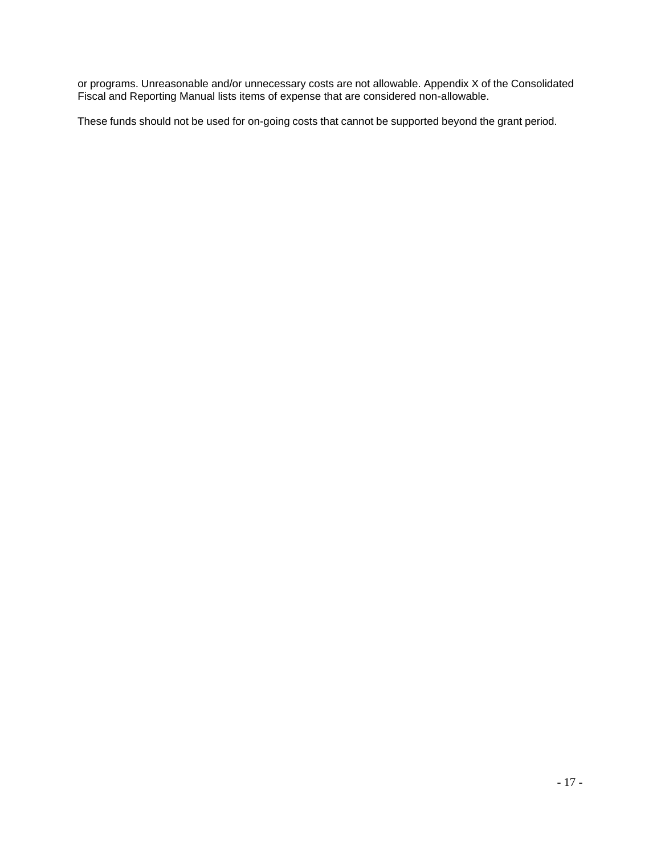or programs. Unreasonable and/or unnecessary costs are not allowable. Appendix X of the Consolidated Fiscal and Reporting Manual lists items of expense that are considered non-allowable.

These funds should not be used for on-going costs that cannot be supported beyond the grant period.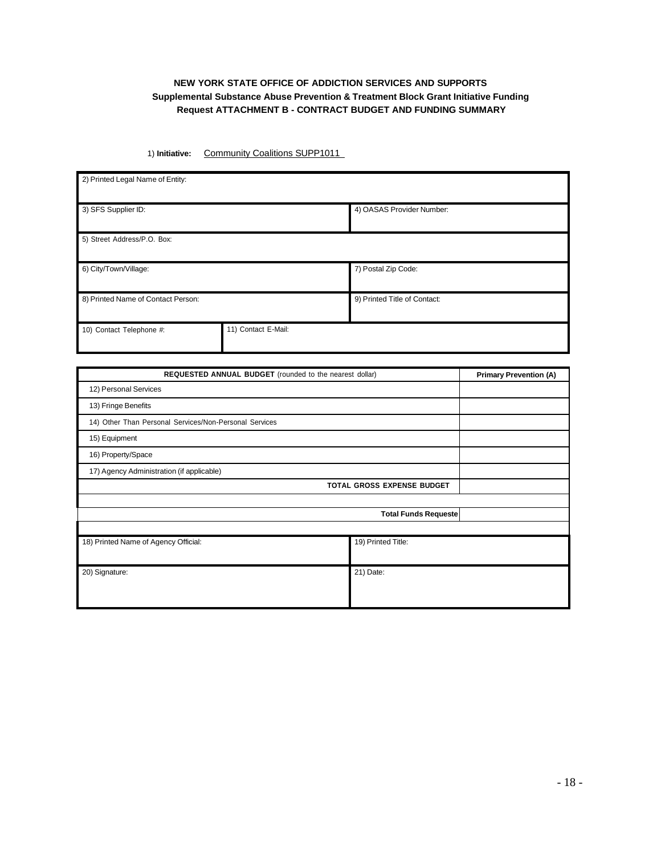#### **NEW YORK STATE OFFICE OF ADDICTION SERVICES AND SUPPORTS Supplemental Substance Abuse Prevention & Treatment Block Grant Initiative Funding Request ATTACHMENT B - CONTRACT BUDGET AND FUNDING SUMMARY**

1) **Initiative:** Community Coalitions SUPP1011

| 2) Printed Legal Name of Entity:   |                     |                              |  |
|------------------------------------|---------------------|------------------------------|--|
| 3) SFS Supplier ID:                |                     | 4) OASAS Provider Number:    |  |
| 5) Street Address/P.O. Box:        |                     |                              |  |
| 6) City/Town/Village:              |                     | 7) Postal Zip Code:          |  |
| 8) Printed Name of Contact Person: |                     | 9) Printed Title of Contact: |  |
| 10) Contact Telephone #:           | 11) Contact E-Mail: |                              |  |

| REQUESTED ANNUAL BUDGET (rounded to the nearest dollar) |                             | <b>Primary Prevention (A)</b> |  |  |
|---------------------------------------------------------|-----------------------------|-------------------------------|--|--|
| 12) Personal Services                                   |                             |                               |  |  |
| 13) Fringe Benefits                                     |                             |                               |  |  |
| 14) Other Than Personal Services/Non-Personal Services  |                             |                               |  |  |
| 15) Equipment                                           |                             |                               |  |  |
| 16) Property/Space                                      |                             |                               |  |  |
| 17) Agency Administration (if applicable)               |                             |                               |  |  |
| <b>TOTAL GROSS EXPENSE BUDGET</b>                       |                             |                               |  |  |
|                                                         |                             |                               |  |  |
|                                                         | <b>Total Funds Requeste</b> |                               |  |  |
|                                                         |                             |                               |  |  |
| 18) Printed Name of Agency Official:                    | 19) Printed Title:          |                               |  |  |
|                                                         |                             |                               |  |  |
| 20) Signature:                                          | 21) Date:                   |                               |  |  |
|                                                         |                             |                               |  |  |
|                                                         |                             |                               |  |  |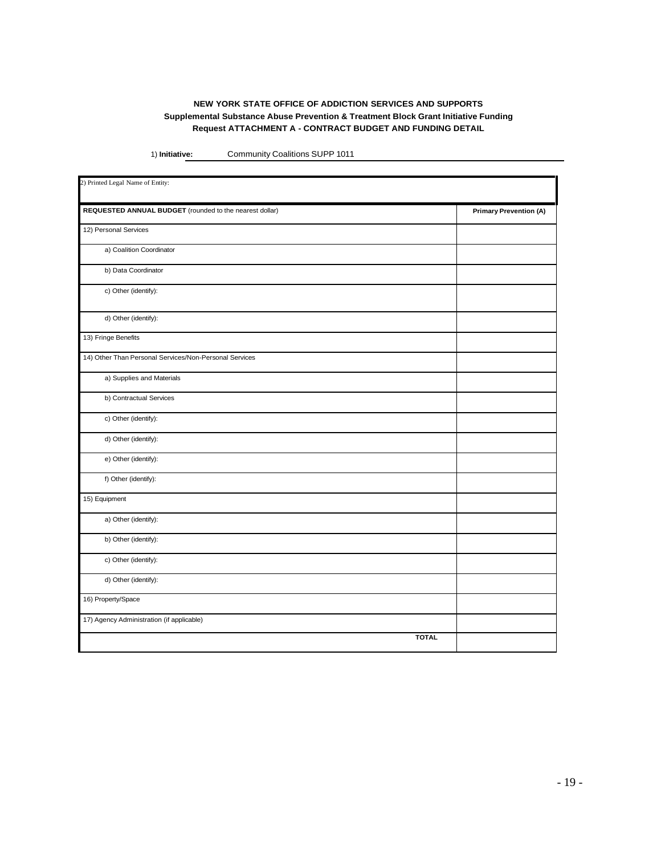#### **NEW YORK STATE OFFICE OF ADDICTION SERVICES AND SUPPORTS Supplemental Substance Abuse Prevention & Treatment Block Grant Initiative Funding Request ATTACHMENT A - CONTRACT BUDGET AND FUNDING DETAIL**

1) **Initiative:** Community Coalitions SUPP 1011

| 2) Printed Legal Name of Entity:                        |                               |  |  |
|---------------------------------------------------------|-------------------------------|--|--|
| REQUESTED ANNUAL BUDGET (rounded to the nearest dollar) | <b>Primary Prevention (A)</b> |  |  |
| 12) Personal Services                                   |                               |  |  |
| a) Coalition Coordinator                                |                               |  |  |
| b) Data Coordinator                                     |                               |  |  |
| c) Other (identify):                                    |                               |  |  |
| d) Other (identify):                                    |                               |  |  |
| 13) Fringe Benefits                                     |                               |  |  |
| 14) Other Than Personal Services/Non-Personal Services  |                               |  |  |
| a) Supplies and Materials                               |                               |  |  |
| b) Contractual Services                                 |                               |  |  |
| c) Other (identify):                                    |                               |  |  |
| d) Other (identify):                                    |                               |  |  |
| e) Other (identify):                                    |                               |  |  |
| f) Other (identify):                                    |                               |  |  |
| 15) Equipment                                           |                               |  |  |
| a) Other (identify):                                    |                               |  |  |
| b) Other (identify):                                    |                               |  |  |
| c) Other (identify):                                    |                               |  |  |
| d) Other (identify):                                    |                               |  |  |
| 16) Property/Space                                      |                               |  |  |
| 17) Agency Administration (if applicable)               |                               |  |  |
| <b>TOTAL</b>                                            |                               |  |  |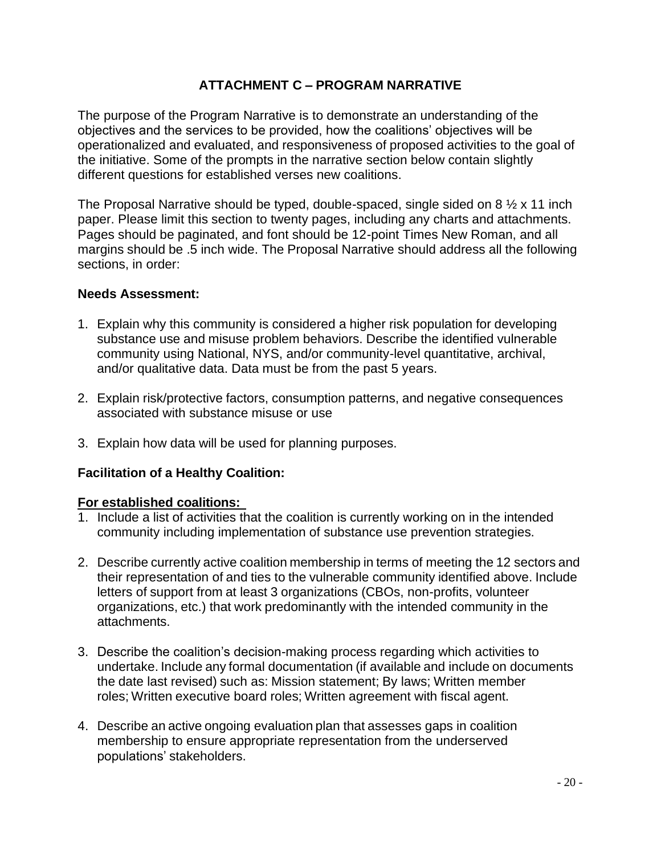#### **ATTACHMENT C – PROGRAM NARRATIVE**

The purpose of the Program Narrative is to demonstrate an understanding of the objectives and the services to be provided, how the coalitions' objectives will be operationalized and evaluated, and responsiveness of proposed activities to the goal of the initiative. Some of the prompts in the narrative section below contain slightly different questions for established verses new coalitions.

The Proposal Narrative should be typed, double-spaced, single sided on 8  $\frac{1}{2}$  x 11 inch paper. Please limit this section to twenty pages, including any charts and attachments. Pages should be paginated, and font should be 12-point Times New Roman, and all margins should be .5 inch wide. The Proposal Narrative should address all the following sections, in order:

#### **Needs Assessment:**

- 1. Explain why this community is considered a higher risk population for developing substance use and misuse problem behaviors. Describe the identified vulnerable community using National, NYS, and/or community-level quantitative, archival, and/or qualitative data. Data must be from the past 5 years.
- 2. Explain risk/protective factors, consumption patterns, and negative consequences associated with substance misuse or use
- 3. Explain how data will be used for planning purposes.

#### **Facilitation of a Healthy Coalition:**

#### **For established coalitions:**

- 1. Include a list of activities that the coalition is currently working on in the intended community including implementation of substance use prevention strategies.
- 2. Describe currently active coalition membership in terms of meeting the 12 sectors and their representation of and ties to the vulnerable community identified above. Include letters of support from at least 3 organizations (CBOs, non-profits, volunteer organizations, etc.) that work predominantly with the intended community in the attachments.
- 3. Describe the coalition's decision-making process regarding which activities to undertake. Include any formal documentation (if available and include on documents the date last revised) such as: Mission statement; By laws; Written member roles; Written executive board roles; Written agreement with fiscal agent.
- 4. Describe an active ongoing evaluation plan that assesses gaps in coalition membership to ensure appropriate representation from the underserved populations' stakeholders.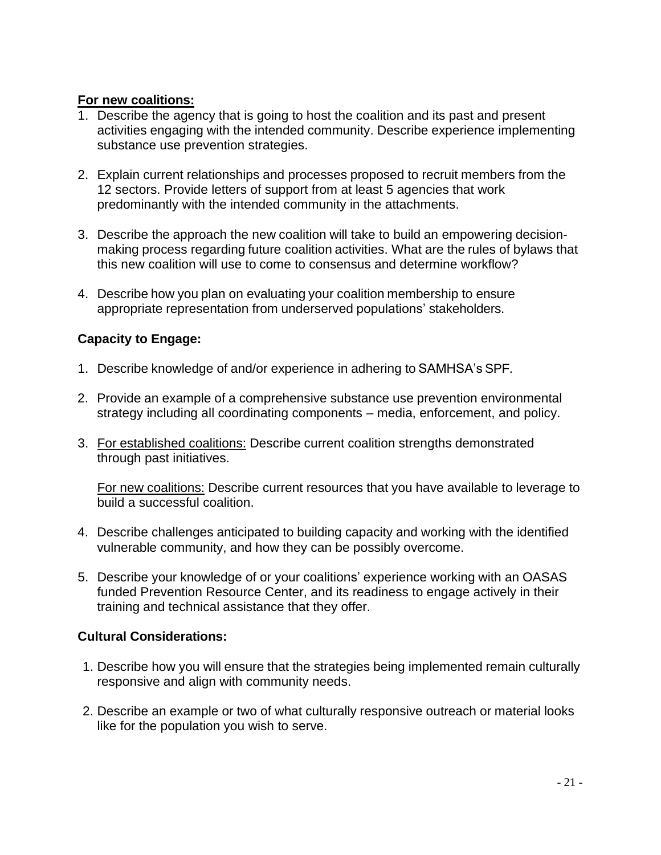#### **For new coalitions:**

- 1. Describe the agency that is going to host the coalition and its past and present activities engaging with the intended community. Describe experience implementing substance use prevention strategies.
- 2. Explain current relationships and processes proposed to recruit members from the 12 sectors. Provide letters of support from at least 5 agencies that work predominantly with the intended community in the attachments.
- 3. Describe the approach the new coalition will take to build an empowering decisionmaking process regarding future coalition activities. What are the rules of bylaws that this new coalition will use to come to consensus and determine workflow?
- 4. Describe how you plan on evaluating your coalition membership to ensure appropriate representation from underserved populations' stakeholders.

### **Capacity to Engage:**

- 1. Describe knowledge of and/or experience in adhering to SAMHSA's SPF.
- 2. Provide an example of a comprehensive substance use prevention environmental strategy including all coordinating components – media, enforcement, and policy.
- 3. For established coalitions: Describe current coalition strengths demonstrated through past initiatives.

For new coalitions: Describe current resources that you have available to leverage to build a successful coalition.

- 4. Describe challenges anticipated to building capacity and working with the identified vulnerable community, and how they can be possibly overcome.
- 5. Describe your knowledge of or your coalitions' experience working with an OASAS funded Prevention Resource Center, and its readiness to engage actively in their training and technical assistance that they offer.

### **Cultural Considerations:**

- 1. Describe how you will ensure that the strategies being implemented remain culturally responsive and align with community needs.
- 2. Describe an example or two of what culturally responsive outreach or material looks like for the population you wish to serve.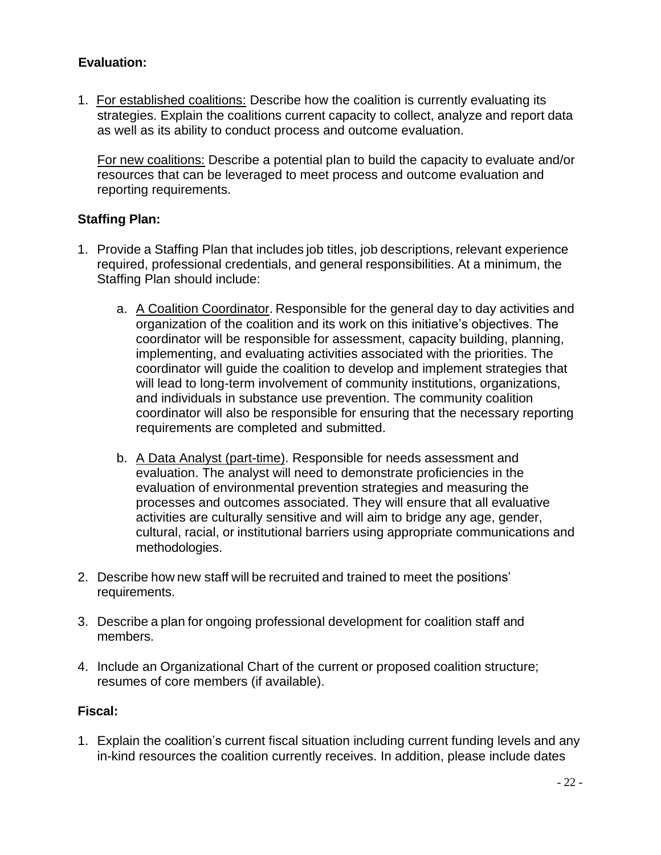#### **Evaluation:**

1. For established coalitions: Describe how the coalition is currently evaluating its strategies. Explain the coalitions current capacity to collect, analyze and report data as well as its ability to conduct process and outcome evaluation.

For new coalitions: Describe a potential plan to build the capacity to evaluate and/or resources that can be leveraged to meet process and outcome evaluation and reporting requirements.

#### **Staffing Plan:**

- 1. Provide a Staffing Plan that includes job titles, job descriptions, relevant experience required, professional credentials, and general responsibilities. At a minimum, the Staffing Plan should include:
	- a. A Coalition Coordinator. Responsible for the general day to day activities and organization of the coalition and its work on this initiative's objectives. The coordinator will be responsible for assessment, capacity building, planning, implementing, and evaluating activities associated with the priorities. The coordinator will guide the coalition to develop and implement strategies that will lead to long-term involvement of community institutions, organizations, and individuals in substance use prevention. The community coalition coordinator will also be responsible for ensuring that the necessary reporting requirements are completed and submitted.
	- b. A Data Analyst (part-time). Responsible for needs assessment and evaluation. The analyst will need to demonstrate proficiencies in the evaluation of environmental prevention strategies and measuring the processes and outcomes associated. They will ensure that all evaluative activities are culturally sensitive and will aim to bridge any age, gender, cultural, racial, or institutional barriers using appropriate communications and methodologies.
- 2. Describe how new staff will be recruited and trained to meet the positions' requirements.
- 3. Describe a plan for ongoing professional development for coalition staff and members.
- 4. Include an Organizational Chart of the current or proposed coalition structure; resumes of core members (if available).

#### **Fiscal:**

1. Explain the coalition's current fiscal situation including current funding levels and any in-kind resources the coalition currently receives. In addition, please include dates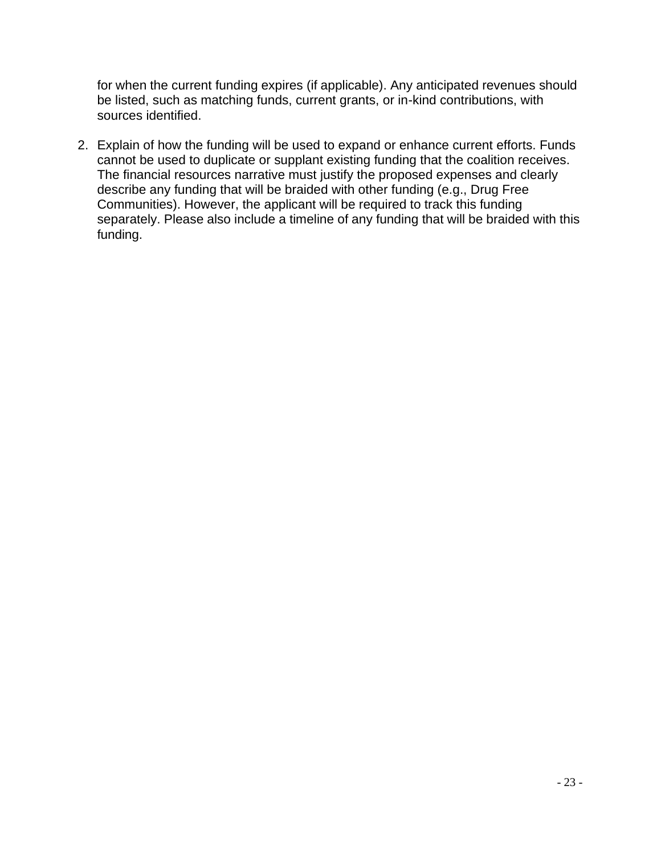for when the current funding expires (if applicable). Any anticipated revenues should be listed, such as matching funds, current grants, or in-kind contributions, with sources identified.

2. Explain of how the funding will be used to expand or enhance current efforts. Funds cannot be used to duplicate or supplant existing funding that the coalition receives. The financial resources narrative must justify the proposed expenses and clearly describe any funding that will be braided with other funding (e.g., Drug Free Communities). However, the applicant will be required to track this funding separately. Please also include a timeline of any funding that will be braided with this funding.